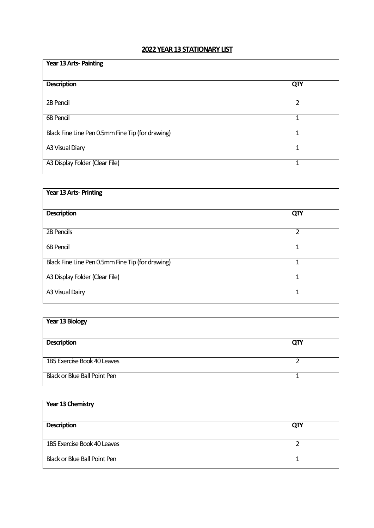## **2022 YEAR 13STATIONARY LIST**

| <b>Year 13 Arts-Painting</b>                     |     |
|--------------------------------------------------|-----|
| <b>Description</b>                               | QTY |
| 2B Pencil                                        | 2   |
| <b>6B Pencil</b>                                 | 1   |
| Black Fine Line Pen 0.5mm Fine Tip (for drawing) | 1   |
| A3 Visual Diary                                  | 1   |
| A3 Display Folder (Clear File)                   | 1   |

| Year 13 Arts-Printing                            |     |
|--------------------------------------------------|-----|
| <b>Description</b>                               | QTY |
| 2B Pencils                                       | 2   |
| 6B Pencil                                        |     |
| Black Fine Line Pen 0.5mm Fine Tip (for drawing) |     |
| A3 Display Folder (Clear File)                   |     |
| A3 Visual Dairy                                  | 1   |

| <b>Year 13 Biology</b>              |     |
|-------------------------------------|-----|
| <b>Description</b>                  | QTY |
| 1B5 Exercise Book 40 Leaves         |     |
| <b>Black or Blue Ball Point Pen</b> |     |

| Year 13 Chemistry                   |     |
|-------------------------------------|-----|
| <b>Description</b>                  | QTY |
| 1B5 Exercise Book 40 Leaves         |     |
| <b>Black or Blue Ball Point Pen</b> |     |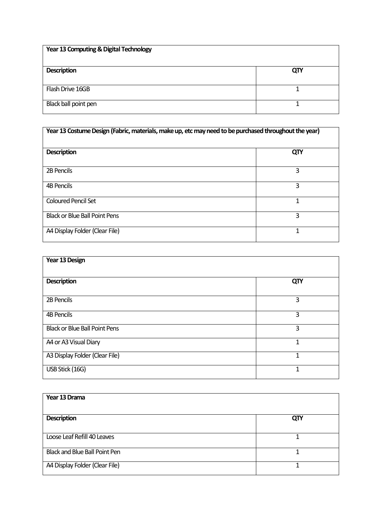| Year 13 Computing & Digital Technology |     |
|----------------------------------------|-----|
| <b>Description</b>                     | QTY |
| Flash Drive 16GB                       |     |
| Black ball point pen                   |     |

| Year 13 Costume Design (Fabric, materials, make up, etc may need to be purchased throughout the year) |     |
|-------------------------------------------------------------------------------------------------------|-----|
| <b>Description</b>                                                                                    | QTY |
| 2B Pencils                                                                                            | 3   |
| <b>4B Pencils</b>                                                                                     | 3   |
| <b>Coloured Pencil Set</b>                                                                            | 1   |
| <b>Black or Blue Ball Point Pens</b>                                                                  | 3   |
| A4 Display Folder (Clear File)                                                                        |     |

| Year 13 Design                       |              |
|--------------------------------------|--------------|
| <b>Description</b>                   | QTY          |
| 2B Pencils                           | 3            |
| <b>4B Pencils</b>                    | 3            |
| <b>Black or Blue Ball Point Pens</b> | 3            |
| A4 or A3 Visual Diary                | $\mathbf{1}$ |
| A3 Display Folder (Clear File)       | 1            |
| USB Stick (16G)                      | 1            |

| Year 13 Drama                        |     |
|--------------------------------------|-----|
| <b>Description</b>                   | QTY |
| Loose Leaf Refill 40 Leaves          |     |
| <b>Black and Blue Ball Point Pen</b> |     |
| A4 Display Folder (Clear File)       |     |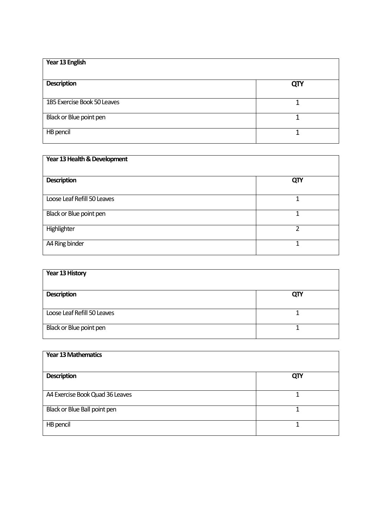| Year 13 English             |            |
|-----------------------------|------------|
| <b>Description</b>          | <b>QTY</b> |
| 1B5 Exercise Book 50 Leaves |            |
| Black or Blue point pen     |            |
| HB pencil                   |            |

| Year 13 Health & Development |     |
|------------------------------|-----|
| <b>Description</b>           | QTY |
| Loose Leaf Refill 50 Leaves  |     |
| Black or Blue point pen      |     |
| Highlighter                  | າ   |
| A4 Ring binder               | 1   |

| Year 13 History             |     |
|-----------------------------|-----|
| <b>Description</b>          | QTY |
| Loose Leaf Refill 50 Leaves |     |
| Black or Blue point pen     |     |

| <b>Year 13 Mathematics</b>      |     |
|---------------------------------|-----|
| <b>Description</b>              | QTY |
| A4 Exercise Book Quad 36 Leaves |     |
| Black or Blue Ball point pen    |     |
| HB pencil                       |     |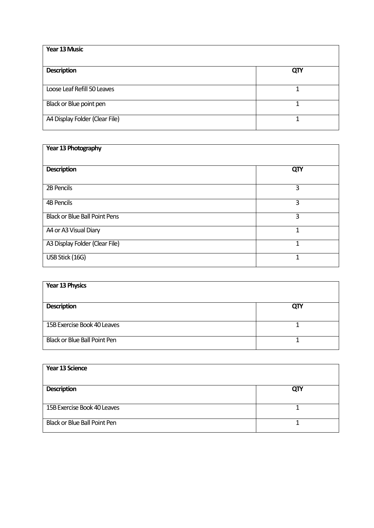| Year 13 Music                  |     |
|--------------------------------|-----|
| <b>Description</b>             | QTY |
| Loose Leaf Refill 50 Leaves    |     |
| Black or Blue point pen        |     |
| A4 Display Folder (Clear File) |     |

| Year 13 Photography                  |     |
|--------------------------------------|-----|
| <b>Description</b>                   | QTY |
| 2B Pencils                           | 3   |
| <b>4B Pencils</b>                    | 3   |
| <b>Black or Blue Ball Point Pens</b> | 3   |
| A4 or A3 Visual Diary                | 1   |
| A3 Display Folder (Clear File)       | 1   |
| USB Stick (16G)                      | 1   |

| Year 13 Physics              |     |
|------------------------------|-----|
| <b>Description</b>           | QTY |
| 15B Exercise Book 40 Leaves  |     |
| Black or Blue Ball Point Pen |     |

| Year 13 Science              |     |
|------------------------------|-----|
| <b>Description</b>           | QTY |
| 15B Exercise Book 40 Leaves  |     |
| Black or Blue Ball Point Pen |     |